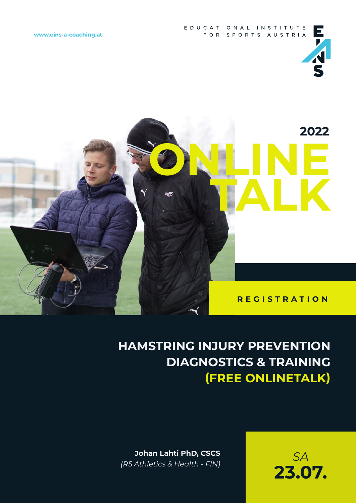

### **HAMSTRING INJURY PREVENTION DIAGNOSTICS & TRAINING (FREE ONLINETALK)**

**Johan Lahti PhD, CSCS**  *(R5 Athletics & Health - FIN)*

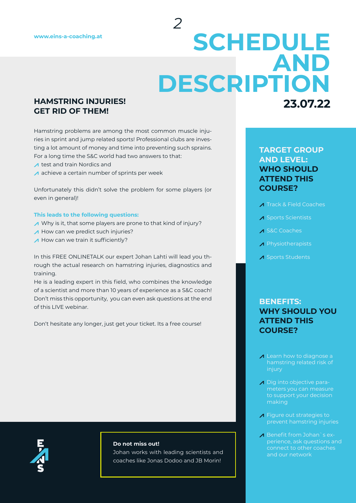## **23.07.22 SCHEDULE AND DESCRIPTION**

*2*

#### **HAMSTRING INJURIES! GET RID OF THEM!**

Hamstring problems are among the most common muscle injuries in sprint and jump related sports! Professional clubs are investing a lot amount of money and time into preventing such sprains. For a long time the S&C world had two answers to that:

- $\Lambda$  test and train Nordics and
- A achieve a certain number of sprints per week

Unfortunately this didn't solve the problem for some players (or even in general)!

#### **This leads to the following questions:**

- Why is it, that some players are prone to that kind of injury?
- A How can we predict such injuries?
- $\triangle$  How can we train it sufficiently?

In this FREE ONLINETALK our expert Johan Lahti will lead you through the actual research on hamstring injuries, diagnostics and training.

He is a leading expert in this field, who combines the knowledge of a scientist and more than 10 years of experience as a S&C coach! Don't miss this opportunity, you can even ask questions at the end of this LIVE webinar.

Don't hesitate any longer, just get your ticket. Its a free course!

#### **Do not miss out!**

Johan works with leading scientists and coaches like Jonas Dodoo and JB Morin!

### **TARGET GROUP AND LEVEL: WHO SHOULD ATTEND THIS COURSE?**

- **A Track & Field Coaches**
- A Sports Scientists
- A S&C Coaches
- **A** Physiotherapists
- A Sports Students

### **BENEFITS: WHY SHOULD YOU ATTEND THIS COURSE?**

- A Learn how to diagnose a hamstring related risk of injury
- Dig into objective parameters you can measure to support your decision making
- **A** Figure out strategies to prevent hamstring injuries
- Benefit from Johan's experience, ask questions and connect to other coaches and our network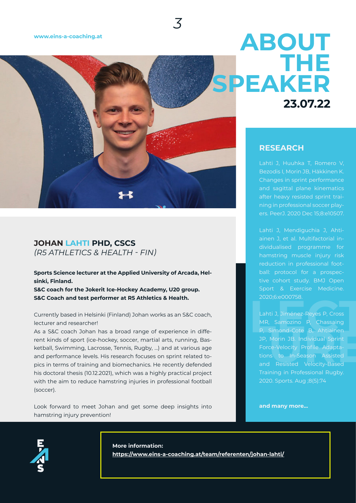#### **[www.eins-a-coaching.at](http://www.eins-a-coaching.at)**



*3*

### **JOHAN LAHTI PHD, CSCS** *(R5 ATHLETICS & HEALTH - FIN)*

**Sports Science lecturer at the Applied University of Arcada, Helsinki, Finland.** 

**S&C coach for the Jokerit Ice-Hockey Academy, U20 group. S&C Coach and test performer at R5 Athletics & Health.** 

Currently based in Helsinki (Finland) Johan works as an S&C coach, lecturer and researcher!

As a S&C coach Johan has a broad range of experience in different kinds of sport (ice-hockey, soccer, martial arts, running, Basketball, Swimming, Lacrosse, Tennis, Rugby, …) and at various age and performance levels. His research focuses on sprint related topics in terms of training and biomechanics. He recently defended his doctoral thesis (10.12.2021), which was a highly practical project with the aim to reduce hamstring injuries in professional football (soccer).

Look forward to meet Johan and get some deep insights into hamstring injury prevention!

# **23.07.22 ABOUT THE SPEAKER**

#### **RESEARCH**

Lahti J, Huuhka T, Romero V, Bezodis I, Morin JB, Häkkinen K. Changes in sprint performance and sagittal plane kinematics after heavy resisted sprint training in professional soccer players. PeerJ. 2020 Dec 15;8:e10507.

Lahti J, Mendiguchia J, Ahtiainen J, et al. Multifactorial individualised programme for hamstring muscle injury risk reduction in professional football: protocol for a prospective cohort study. BMJ Open Sport & Exercise Medicine. 2020;6:e000758.

2020;6:e000758.<br>
Lahti J, Jiménez-Reyes P, Cross<br>
MR, Samozino P, Chassaing<br>
P, Simond-Cote B, Ahtiainen<br>
JP, Morin JB. Individual Sprint<br>
Force-Velocity Profile Adapta-<br>
tions to In-Season Assisted<br>
and Resisted Velocity-Lahti J, Jiménez-Reyes P, Cross MR, Samozino P, Chassaing P, Simond-Cote B, Ahtiainen JP, Morin JB. Individual Sprint Force-Velocity Profile Adaptations to In-Season Assisted and Resisted Velocity-Based Training in Professional Rugby. 2020. Sports. Aug ;8(5):74

**and many more...**



**More information: <https://www.eins-a-coaching.at/team/referenten/johan-lahti/>**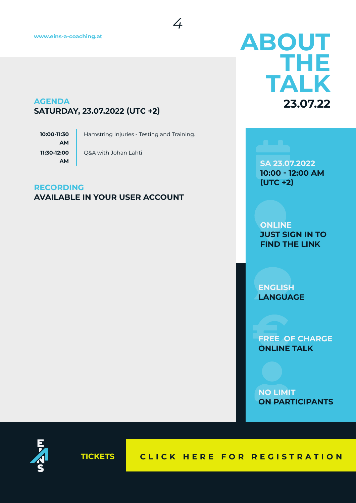### **AGENDA SATURDAY, 23.07.2022 (UTC +2)**

**10:00-11:30 AM 11:30-12:00 AM**

Hamstring Injuries - Testing and Training.

*4*

Q&A with Johan Lahti

#### **RECORDING AVAILABLE IN YOUR USER ACCOUNT**

# **23.07.22 ABOUT THE TALK**

**SA 23.07.2022 10:00 - 12:00 AM (UTC +2)**

**ONLINE JUST SIGN IN TO FIND THE LINK**

**ENGLISH LANGUAGE**

**FREE OF CHARGE ONLINE TALK**

**NO LIMIT ON PARTICIPANTS**



**TICKETS [CLICK HERE FOR REGISTRATION](https://www.courseticket.com/en/e/27833?external=79236)**